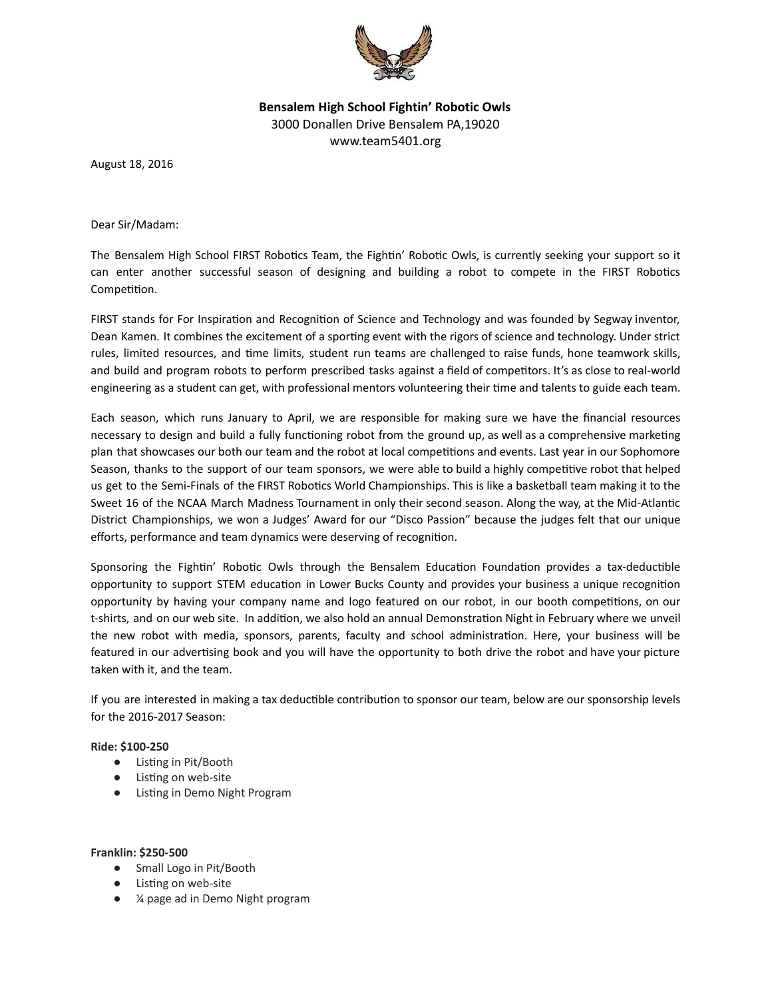

Bensalem High School Fightin' Robotic Owls 3000 Donallen Drive Bensalem PA,19020 www.team5401.org

August 18, 2016

Dear Sir/Madam:

The Bensalem High School FIRST Robotics Team, the Fightin' Robotic Owls, is currently seeking your support so it can enter another successful season of designing and building a robot to compete in the FIRST Robotics Competition.

FIRST stands for For Inspiration and Recognition of Science and Technology and was founded by Segway inventor, Dean Kamen. It combines the excitement of a sporting event with the rigors of science and technology. Under strict rules, limited resources, and time limits, student run teams are challenged to raise funds, hone teamwork skills, and build and program robots to perform prescribed tasks against a field of competitors. It's as close to real-world engineering as a student can get, with professional mentors volunteering their time and talents to guide each team.

Each season, which runs January to April, we are responsible for making sure we have the financial resources necessary to design and build a fully functioning robot from the ground up, as well as a comprehensive marketing plan that showcases our both our team and the robot at local competitions and events. Last year in our Sophomore Season, thanks to the support of our team sponsors, we were able to build a highly competitive robot that helped us get to the Semi-Finals of the FIRST Robotics World Championships. This is like a basketball team making it to the Sweet 16 of the NCAA March Madness Tournament in only their second season. Along the way, at the Mid-Atlantic District Championships, we won a Judges' Award for our "Disco Passion" because the judges felt that our unique efforts, performance and team dynamics were deserving of recognition.

Sponsoring the Fightin' Robotic Owls through the Bensalem Education Foundation provides a tax-deductible opportunity to support STEM education in Lower Bucks County and provides your business a unique recognition opportunity by having your company name and logo featured on our robot, in our booth competitions, on our t-shirts, and on our web site. In addition, we also hold an annual Demonstration Night in February where we unveil the new robot with media, sponsors, parents, faculty and school administration. Here, your business will be featured in our advertising book and you will have the opportunity to both drive the robot and have your picture taken with it, and the team.

If you are interested in making a tax deductible contribution to sponsor our team, below are our sponsorship levels for the 2016‐2017 Season:

## Ride: \$100-250

- Listing in Pit/Booth
- Listing on web-site
- Listing in Demo Night Program

# Franklin: \$250-500

- Small Logo in Pit/Booth
- Listing on web-site
- ¼ page ad in Demo Night program